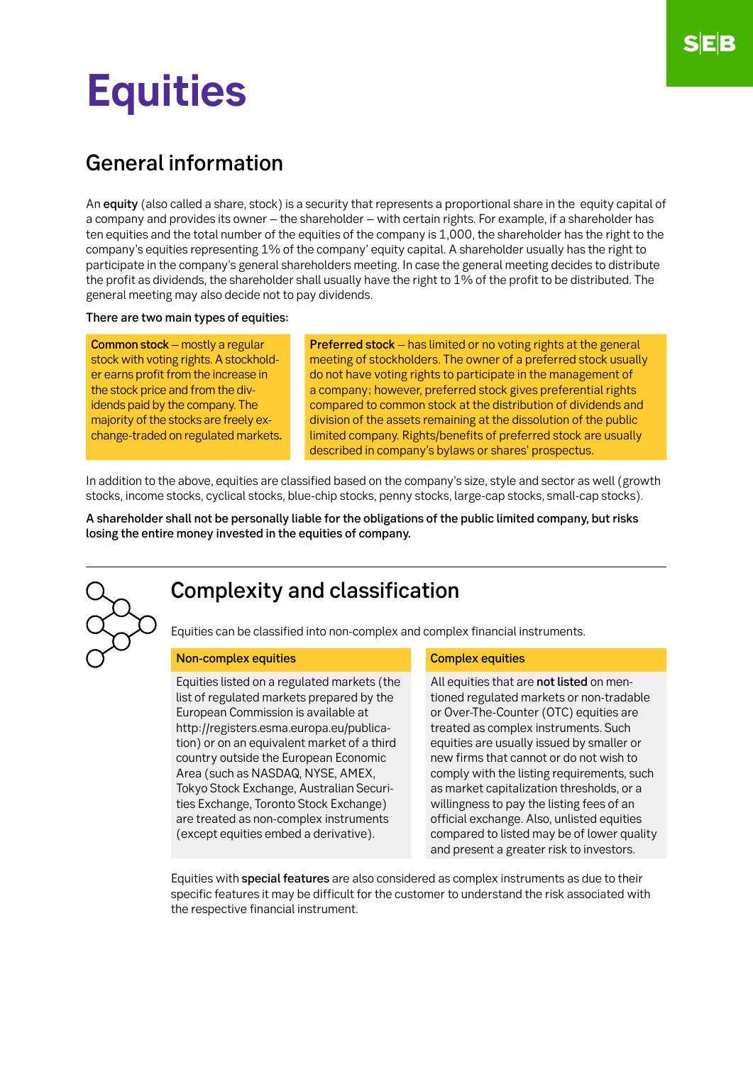# **Equities**

## General information

An equity (also called a share, stock) is a security that represents a proportional share in the equity capital of a company and provides its owner – the shareholder – with certain rights. For example, if a shareholder has ten equities and the total number of the equities of the company is 1,000, the shareholder has the right to the company's equities representing 1% of the company' equity capital. A shareholder usually has the right to participate in the company's general shareholders meeting. In case the general meeting decides to distribute the profit as dividends, the shareholder shall usually have the right to 1% of the profit to be distributed. The general meeting may also decide not to pay dividends.

#### There are two main types of equities:

Common stock – mostly a regular stock with voting rights. A stockholder earns profit from the increase in the stock price and from the dividends paid by the company. The majority of the stocks are freely exchange-traded on regulated markets. Preferred stock – has limited or no voting rights at the general meeting of stockholders. The owner of a preferred stock usually do not have voting rights to participate in the management of a company; however, preferred stock gives preferential rights compared to common stock at the distribution of dividends and division of the assets remaining at the dissolution of the public limited company. Rights/benefits of preferred stock are usually described in company's bylaws or shares' prospectus.

In addition to the above, equities are classified based on the company's size, style and sector as well (growth stocks, income stocks, cyclical stocks, blue-chip stocks, penny stocks, large-cap stocks, small-cap stocks).

A shareholder shall not be personally liable for the obligations of the public limited company, but risks losing the entire money invested in the equities of company.

## Complexity and classification

Equities can be classified into non-complex and complex financial instruments.

### Non-complex equities Complex Equities Complex equities

Equities listed on a regulated markets (the list of regulated markets prepared by the European Commission is available at http://registers.esma.europa.eu/publication) or on an equivalent market of a third country outside the European Economic Area (such as NASDAQ, NYSE, AMEX, Tokyo Stock Exchange, Australian Securities Exchange, Toronto Stock Exchange) are treated as non-complex instruments (except equities embed a derivative).

All equities that are not listed on mentioned regulated markets or non-tradable or Over-The-Counter (OTC) equities are treated as complex instruments. Such equities are usually issued by smaller or new firms that cannot or do not wish to comply with the listing requirements, such as market capitalization thresholds, or a willingness to pay the listing fees of an official exchange. Also, unlisted equities compared to listed may be of lower quality and present a greater risk to investors.

Equities with special features are also considered as complex instruments as due to their specific features it may be difficult for the customer to understand the risk associated with the respective financial instrument.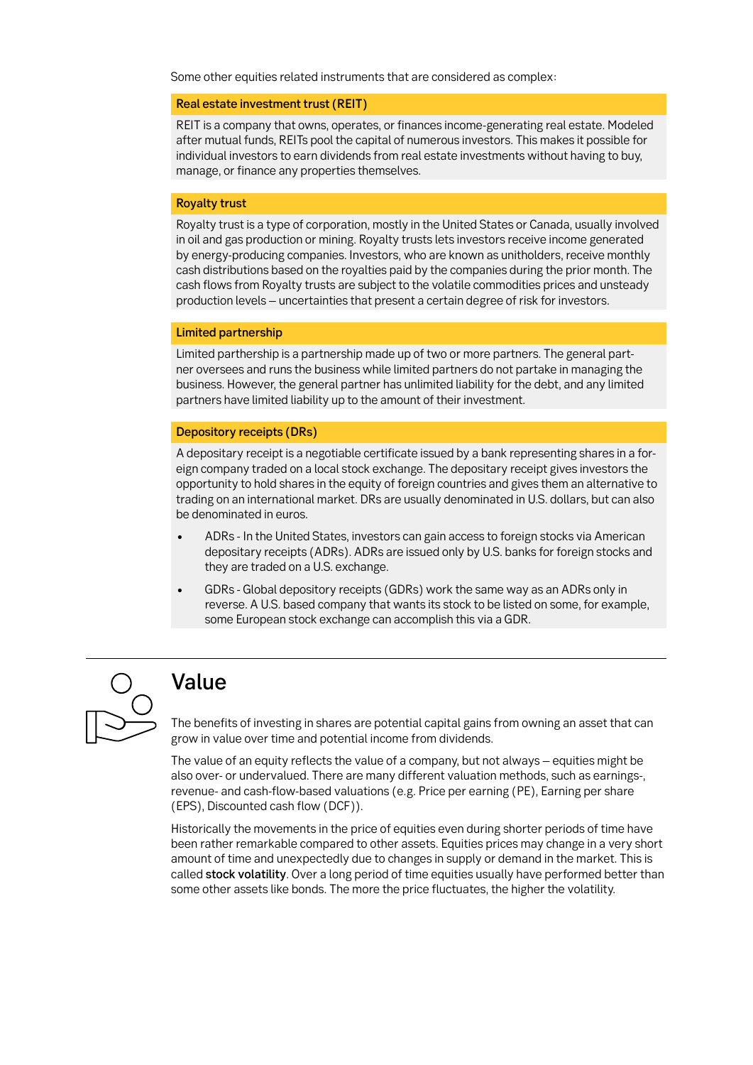Some other equities related instruments that are considered as complex:

#### Real estate investment trust (REIT)

REIT is a company that owns, operates, or finances income-generating real estate. Modeled after mutual funds, REITs pool the capital of numerous investors. This makes it possible for individual investors to earn dividends from real estate investments without having to buy, manage, or finance any properties themselves.

#### Royalty trust

Royalty trust is a type of corporation, mostly in the United States or Canada, usually involved in oil and gas production or mining. Royalty trusts lets investors receive income generated by energy-producing companies. Investors, who are known as unitholders, receive monthly cash distributions based on the royalties paid by the companies during the prior month. The cash flows from Royalty trusts are subject to the volatile commodities prices and unsteady production levels – uncertainties that present a certain degree of risk for investors.

### Limited partnership

Limited parthership is a partnership made up of two or more partners. The general partner oversees and runs the business while limited partners do not partake in managing the business. However, the general partner has unlimited liability for the debt, and any limited partners have limited liability up to the amount of their investment.

#### Depository receipts (DRs)

A depositary receipt is a negotiable certificate issued by a bank representing shares in a foreign company traded on a local stock exchange. The depositary receipt gives investors the opportunity to hold shares in the equity of foreign countries and gives them an alternative to trading on an international market. DRs are usually denominated in U.S. dollars, but can also be denominated in euros.

- ADRs In the United States, investors can gain access to foreign stocks via American depositary receipts (ADRs). ADRs are issued only by U.S. banks for foreign stocks and they are traded on a U.S. exchange.
- GDRs Global depository receipts (GDRs) work the same way as an ADRs only in reverse. A U.S. based company that wants its stock to be listed on some, for example, some European stock exchange can accomplish this via a GDR.



## Value

The benefits of investing in shares are potential capital gains from owning an asset that can grow in value over time and potential income from dividends.

The value of an equity reflects the value of a company, but not always – equities might be also over- or undervalued. There are many different valuation methods, such as earnings-, revenue- and cash-flow-based valuations (e.g. Price per earning (PE), Earning per share (EPS), Discounted cash flow (DCF)).

Historically the movements in the price of equities even during shorter periods of time have been rather remarkable compared to other assets. Equities prices may change in a very short amount of time and unexpectedly due to changes in supply or demand in the market. This is called stock volatility. Over a long period of time equities usually have performed better than some other assets like bonds. The more the price fluctuates, the higher the volatility.